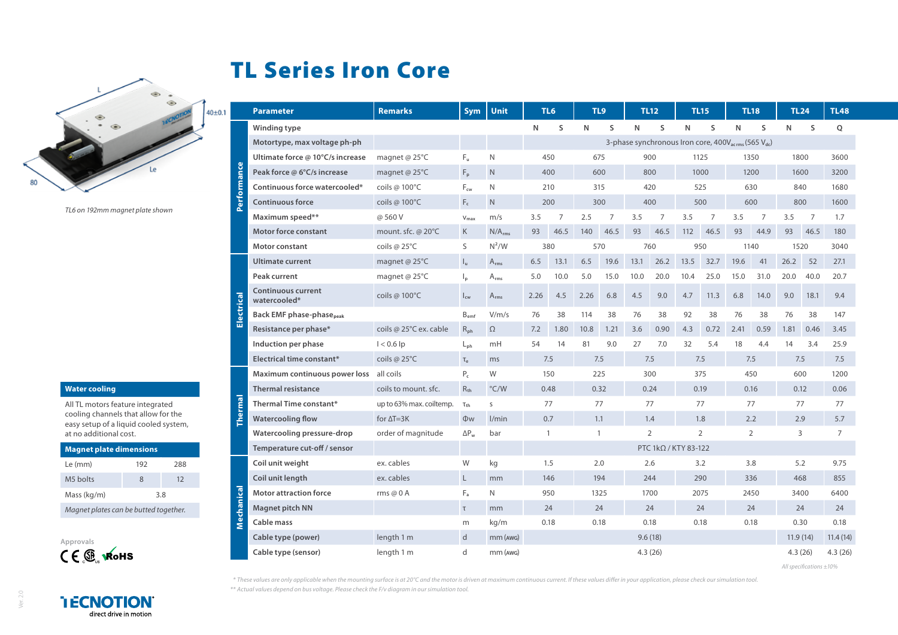## TL Series Iron Core



*TL6 on 192mm magnet plate shown*

## **Water cooling**

All TL motors feature integrated cooling channels that allow for the easy setup of a liquid cooled system, at no additional cost.

| <b>Magnet plate dimensions</b>        |     |     |  |  |  |  |  |
|---------------------------------------|-----|-----|--|--|--|--|--|
| Le (mm)                               | 192 | 288 |  |  |  |  |  |
| M5 holts                              | 8   | 12  |  |  |  |  |  |
| Mass (kg/m)                           | 3.8 |     |  |  |  |  |  |
| Magnet plates can be butted together. |     |     |  |  |  |  |  |



**I ECNOTION** direct drive in motion

|   | <b>Parameter</b>                            | <b>Remarks</b>                                                              | <b>Sym</b>                 | Unit               |                             | TL6        | TL9                              |              | TL12<br>TL15   |            | TL18     |                | TL24           |                | <b>TL48</b> |      |             |
|---|---------------------------------------------|-----------------------------------------------------------------------------|----------------------------|--------------------|-----------------------------|------------|----------------------------------|--------------|----------------|------------|----------|----------------|----------------|----------------|-------------|------|-------------|
|   | Winding type                                |                                                                             |                            |                    | N                           | S          | N                                | S            | N              | S          | N        | S              | N              | S              | N           | S    | $\mathsf Q$ |
|   | Motortype, max voltage ph-ph                | 3-phase synchronous Iron core, 400V <sub>acrms</sub> (565 V <sub>dc</sub> ) |                            |                    |                             |            |                                  |              |                |            |          |                |                |                |             |      |             |
|   | Ultimate force @ 10°C/s increase            | magnet @ 25°C                                                               | Fu.                        | N                  | 450                         |            | 675<br>900                       |              | 1125           |            | 1350     |                | 1800           |                | 3600        |      |             |
|   | Peak force @ 6°C/s increase                 | magnet @ 25°C                                                               | $F_p$                      | N                  | 400                         |            | 600<br>800                       |              | 1000           |            | 1200     |                | 1600           |                | 3200        |      |             |
|   | Continuous force watercooled*               | coils @ 100°C                                                               | $F_{cw}$                   | N                  | 210                         |            | 315<br>420                       |              | 525            |            | 630      |                | 840            |                | 1680        |      |             |
|   | <b>Continuous force</b>                     | coils @ 100°C                                                               | $F_c$                      | N                  | 200                         |            | 400<br>300                       |              | 500            |            | 600      |                | 800            |                | 1600        |      |             |
|   | Maximum speed**                             | @ 560 V                                                                     | $V_{max}$                  | m/s                | 3.5                         | 7          | 2.5                              | 7            | 3.5            | 7          | 3.5      | $\overline{7}$ | 3.5            | $\overline{7}$ | 3.5         | 7    | 1.7         |
|   | <b>Motor force constant</b>                 | mount. sfc. @ 20°C                                                          | $\mathsf{K}$               | N/A <sub>rms</sub> | 93                          | 46.5       | 140                              | 46.5         | 93             | 46.5       | 112      | 46.5           | 93             | 44.9           | 93          | 46.5 | 180         |
|   | Motor constant                              | coils @ $25^{\circ}$ C                                                      | S                          | $N^2/W$            |                             | 380        | 570                              |              | 760            |            | 950      |                | 1140           |                | 1520        |      | 3040        |
| 굽 | <b>Ultimate current</b>                     | magnet @ $25^{\circ}$ C                                                     | $I_{u}$                    | $A_{rms}$          | 6.5                         | 13.1       | 6.5                              | 19.6         | 13.1           | 26.2       | 13.5     | 32.7           | 19.6           | 41             | 26.2        | 52   | 27.1        |
|   | Peak current                                | magnet @ 25°C                                                               | $\mathsf{I}_{\mathsf{p}}$  | $A_{rms}$          | 5.0                         | 10.0       | 5.0                              | 15.0         | 10.0           | 20.0       | 10.4     | 25.0           | 15.0           | 31.0           | 20.0        | 40.0 | 20.7        |
|   | <b>Continuous current</b><br>watercooled*   | coils @ 100°C                                                               | $\mathsf{l}_{\mathsf{cw}}$ | $A_{rms}$          | 2.26                        | 4.5        | 2.26                             | 6.8          | 4.5            | 9.0        | 4.7      | 11.3           | 6.8            | 14.0           | 9.0         | 18.1 | 9.4         |
|   | <b>Back EMF phase-phase</b> <sub>peak</sub> |                                                                             | B <sub>emf</sub>           | V/m/s              | 76                          | 38         | 114                              | 38           | 76             | 38         | 92       | 38             | 76             | 38             | 76          | 38   | 147         |
|   | Resistance per phase*                       | coils @ 25°C ex. cable                                                      | $R_{\rm ph}$               | $\Omega$           | 7.2                         | 1.80       | 10.8                             | 1.21         | 3.6            | 0.90       | 4.3      | 0.72           | 2.41           | 0.59           | 1.81        | 0.46 | 3.45        |
|   | Induction per phase                         | $1 < 0.6$ lp                                                                | $L_{ph}$                   | mH                 | 54                          | 14         | 81                               | 9.0          | 27             | 7.0        | 32       | 5.4            | 18             | 4.4            | 14          | 3.4  | 25.9        |
|   | <b>Electrical time constant*</b>            | coils @ $25^{\circ}$ C                                                      | $\tau_e$                   | ms                 |                             | 7.5<br>7.5 |                                  | 7.5          |                | 7.5<br>7.5 |          |                | 7.5            |                | 7.5         |      |             |
|   | Maximum continuous power loss               | all coils                                                                   | $P_c$                      | W                  |                             | 150        | 225                              |              | 300            |            | 375      |                | 450            |                | 600         |      | 1200        |
|   | <b>Thermal resistance</b>                   | coils to mount, sfc.                                                        | $R_{th}$                   | $\degree$ C/W      | 0.48                        | 0.32       |                                  | 0.24         |                | 0.19       |          | 0.16           |                | 0.12           |             | 0.06 |             |
|   | <b>Thermal Time constant*</b>               | up to 63% max. coiltemp.                                                    | $\tau_{\text{th}}$         | S                  | 77                          |            | 77                               |              | 77             |            | 77       |                | 77             |                | 77          |      | 77          |
|   | <b>Watercooling flow</b>                    | for $\Delta T = 3K$                                                         | <b>Ow</b>                  | l/min              |                             | 0.7<br>1.1 |                                  | 1.8<br>1.4   |                | 2.2        |          | 2.9            |                | 5.7            |             |      |             |
|   | Watercooling pressure-drop                  | order of magnitude                                                          | $\Delta P_w$               | bar                | $\mathbf{1}$<br>1           |            | $\overline{2}$<br>$\overline{2}$ |              | $\overline{2}$ |            | 3        |                | $\overline{7}$ |                |             |      |             |
|   | Temperature cut-off / sensor                |                                                                             |                            |                    | PTC $1k\Omega$ / KTY 83-122 |            |                                  |              |                |            |          |                |                |                |             |      |             |
|   | Coil unit weight                            | ex. cables                                                                  | W                          | kg                 |                             | 1.5<br>2.0 |                                  | 2.6<br>3.2   |                | 3.8        |          | 5.2            |                | 9.75           |             |      |             |
|   | Coil unit length                            | ex. cables                                                                  | $\mathsf{L}$               | mm                 | 146<br>194                  |            | 244                              |              | 290            |            | 336      |                | 468            |                | 855         |      |             |
|   | <b>Motor attraction force</b>               | rms $@0A$                                                                   | $F_a$                      | N                  | 950<br>1325                 |            |                                  | 1700         |                | 2075       |          | 2450           |                | 3400           |             | 6400 |             |
|   | <b>Magnet pitch NN</b>                      |                                                                             | $\tau$                     | mm                 | 24                          |            | 24<br>24                         |              | 24             |            | 24       |                | 24             |                | 24          |      |             |
|   | Cable mass                                  |                                                                             | m                          | kg/m               | 0.18                        |            |                                  | 0.18<br>0.18 |                |            | 0.18     |                | 0.18           |                | 0.30        |      | 0.18        |
|   | Cable type (power)                          | length 1 m                                                                  | $\mathsf{d}$               | $mm$ ( $AWG$ )     | 9.6(18)                     |            |                                  |              |                |            | 11.9(14) |                | 11.4(14)       |                |             |      |             |
|   | Cable type (sensor)                         | length 1 m                                                                  | d                          | $mm$ ( $AWG$ )     |                             |            |                                  |              |                | 4.3(26)    |          |                |                |                | 4.3(26)     |      | 4.3(26)     |

*All specifications ±10%*

*\* These values are only applicable when the mounting surface is at 20°C and the motor is driven at maximum continuous current. If these values differ in your application, please check our simulation tool.*

*\*\* Actual values depend on bus voltage. Please check the F/v diagram in our simulation tool.*